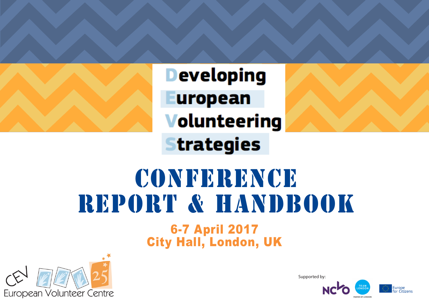**Developing European Volunteering Strategies** 

# 6-7 April 2017 City Hall, London, UK CONFERENCE REPORT & HANDBOOK



Supported by:

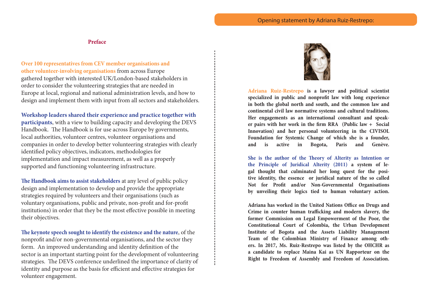**Preface**

**Over 100 representatives from CEV member organisations and other volunteer-involving organisations** from across Europe gathered together with interested UK/London-based stakeholders in order to consider the volunteering strategies that are needed in Europe at local, regional and national administration levels, and how to design and implement them with input from all sectors and stakeholders.

**Workshop leaders shared their experience and practice together with participants**, with a view to building capacity and developing the DEVS Handbook. The Handbook is for use across Europe by governments, local authorities, volunteer centres, volunteer organisations and companies in order to develop better volunteering strategies with clearly identified policy objectives, indicators, methodologies for implementation and impact measurement, as well as a properly supported and functioning volunteering infrastructure.

**The Handbook aims to assist stakeholders** at any level of public policy design and implementation to develop and provide the appropriate strategies required by volunteers and their organisations (such as voluntary organisations, public and private, non-profit and for-profit institutions) in order that they be the most effective possible in meeting their objectives.

**The keynote speech sought to identify the existence and the nature**, of the nonprofit and/or non-governmental organisations, and the sector they form. An improved understanding and identity definition of the sector is an important starting point for the development of volunteering strategies. The DEVS conference underlined the importance of clarity of identity and purpose as the basis for efficient and effective strategies for volunteer engagement.



**Adriana Ruiz-Restrepo is a lawyer and political scientist specialized in public and nonprofit law with long experience in both the global north and south, and the common law and continental civil law normative systems and cultural traditions. Her engagements as an international consultant and speaker pairs with her work in the firm RRA (Public law + Social Innovation) and her personal volunteering in the CIVISOL Foundation for Systemic Change of which she is a founder, and is active in Bogota, Paris and Genève.**

**She is the author of the Theory of Alterity as Intention or the Principle of Juridical Alterity (2011) a system of legal thought that culminated her long quest for the positive identity, the essence or juridical nature of the so called Not for Profit and/or Non-Governmental Organisations by unveiling their logics tied to human voluntary action.** 

**Adriana has worked in the United Nations Office on Drugs and Crime in counter human trafficking and modern slavery, the former Commission on Legal Empowerment of the Poor, the Constitutional Court of Colombia, the Urban Development Institute of Bogota and the Assets Liability Management Team of the Colombian Ministry of Finance among others. In 2017, Ms. Ruiz-Restrepo was listed by the OHCHR as a candidate to replace Maina Kai as UN Rapporteur on the Right to Freedom of Assembly and Freedom of Association.**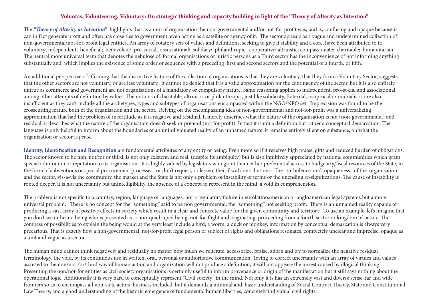#### **Voluntas, Volunteering, Voluntary: On strategic thinking and capacity building in light of the "Theory of Alterity as Intention"**

The *"Theory of Alterity as Intention"* highlights that as a unit of organisation the non-governmental and/or not-for-profit was, and is, confusing and opaque because it can in fact generate profit and often has close ties to government, even acting as a satellite or agency of it. The sector appears as a vague and undetermined collection of non-governmental/not-for-profit legal entities. An array of rotatory sets of values and definitions, seeking to give it stability and a core, have been attributed to it: voluntary; independent; beneficial; benevolent; pro-social; associational; solidary; philanthropic; cooperative; altruistic; compassionate; charitable; humanitarian. The neutral more universal term that denotes the nebulose of formal organisations or juristic persons as a Third sector has the inconvenience of not informing anything substantially and which implies the existence of some order or sequence with a preceding first and second sectors and the potential of a fourth, or fifth.

An additional perspective of affirming that the distinctive feature of the collection of organisations is that they are voluntary, that they form a Voluntary Sector, suggests that the other sectors are not voluntary, or are less voluntary. It cannot be denied that it is a valid approximation for the contingency of the sector, but it is also entirely untrue as commerce and government are not organisations of a mandatory or compulsory nature. Same reasoning applies to independent, pro-social and associational among other attempts of definition by values. The notions of charitable, altruistic or philanthropic, just like solidarity, fraternal, reciprocal or mutualistic are also insufficient as they can't include all the archetypes, types and subtypes of organisations encompassed within the NGO/NPO set. Imprecision was found to be the crosscutting feature both of the organisation and the sector. Relying on the encompassing idea of non-governmental and not-for-profit was a universalizing approximation that had the problem of incertitude as it is negative and residual. It merely describes what the nature of the organisation is not (non-governmental) and residual, it describes what the nature of the organisation doesn't seek or pretend (not for profit). In fact it is not a definition but rather a conceptual demarcation. The language is only helpful to inform about the boundaries of an unindividuated reality of an unnamed nature, it remains entirely silent on substance, on what the organization or sector is *per se.*

**Identity, Identification and Recognition** are fundamental attributes of any entity or being. Even more so if it receives high praise, gifts and reduced burden of obligations. The sector known to be non, not/for or third, is not only existent, and real, (despite its ambiguity) but is also intuitively appreciated by national communities which grant special admiration or reputation to its organisation. It is highly valued by legislators who grant them either preferential access to budgetary/fiscal resources of the State, in the form of subventions or special procurement processes, or don't request, or lessen, their fiscal contributions. The turbulence and opaqueness of the organisation and the sector, vis-a-vis the community, the market and the State is not only a problem of instability of terms or the unending re-significations. The cause of instability is rooted deeper, it is not uncertainty but unintelligibility, the absence of a concept to represent in the mind, a void in comprehension.

The problem is not specific to a country, region, language or languages, nor a regulatory failure in eurolatinoamerican or angloamerican legal systems but a more universal problem. There is no concept for the "something" said to be non governmental, the "something" not seeking profit. There is an unnamed reality capable of producing a vast array of positive effects in society which result in a clear and concrete value for the given community and territory. To use an example, let's imagine that you don't see or hear a being who is presented as a non-quadruped being, not-for-flight and originating, proceeding from a fourth sector or kingdom of nature. The compass of possibilities to explain the being would at the very least include a bird, a worm, a duck or monkey, information by conceptual demarcation is always very precarious. That is exactly how a non-governmental, not-for-profit legal person or subject of rights and obligations resonates, completely unclear and imprecise, opaque as a unit and vague as a sector.

The human mind cannot think negatively and residually no matter how much we reiterate, accessorize, praise, adorn and try to normalize the negative residual terminology, the void, by its continuous use in written, oral, personal or authoritative communication. Trying to correct uncertainty with an array of virtues and values assorted to the non/not-for/third way of human action and organization will not produce a definition, it will not appease the unrest caused by illogical thinking. Presenting the non/not-for entities as civil society organisations is certainly useful to inform provenance or origin of the manifestation but it still says nothing about the operational logic. Additionally it is very hard to conceptually represent "Civil society" in the mind. Not only it is has an extremely vast and diverse sense, far and wide frontiers so as to encompass all non-state actors, business included, but it demands a minimal and basic understanding of Social Contract Theory, State and Constitutional Law Theory, and a good understanding of the historic emergence of fundamental human liberties, concretely individual civil rights.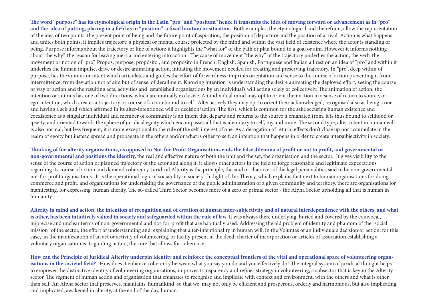**The word "purpose" has its etymological origin in the Latin "pro" and "positum" hence it transmits the idea of moving forward or advancement as in "pro" and the idea of putting, placing in a field as in "positum" a fixed location or situation.** Both examples, the etymological and the refrain, allow the representation of the idea of two points: the present point of being and the future point of aspiration, the position of departure and the position of arrival. Action is what happens and unites both points, it implies trajectory, a physical or mental course projected by the mind and within the vast field of existence where the actor is standing or being. Purpose informs about the trajectory or line of action; it highlights the "what for" of the path or plan bound to a goal or aim. However it informs nothing about 'the why", the reason for leaving inertia and entering into action. The cause of movement "the why" of the trajectory underlies the action, the verb, the movement or notion of "pro". Propos, purpose, propósito , and proposito in French, English, Spanish, Portuguese and Italian all rest on an idea of "pro" and within it underlies the human impulse, drive or desire animating action, initiating the movement needed for creating and preserving trajectory. In "pro", deep within of purpose, lies the animus or intent which articulates and guides the effort of forwardness, imprints orientation and sense to the course of action preventing it from intermittence, from deviation not of aim but of sense, of derailment. Knowing intention is understanding the desire animating the deployed effort, seeing the course or way of action and the resulting acts, activities and established organisations by an individual's will acting solely or collectively. The animation of action, the intention or animus has one of two directions, which are mutually exclusive. An individual mind may opt to orient their action in a sense of return to source, or ego-intention, which creates a trajectory or course of action bound to self. Alternatively they may opt to orient their acknowledged, recognised also as being a one, and having a self and which affirmed in its alter-intentioned will or decision/action. The first, which is common for the sake securing human existence and coexistence as a singular individual and member of community is an intent that departs and returns to the source it emanated from, it is thus bound to selfhood or ipseity, and oriented towards the sphere of juridical egoity which encompasses all that is identitary to self, my and mine. The second type, alter-intent in human will is also normal, but less frequent, it is more exceptional to the rule of the self-interest of one. As a derogation of return, effects don't close up nor accumulate in the realm of egoity but instead spread and propagate in the others and/or what is other to self, an intention that happens in order to create intersubjectivity in society.

**Thinking of for-alterity organisations, as opposed to Not-for-Profit Organisations ends the false dilemma of profit or not to profit, and governmental or non-governmental and positions the identity,** the real and effective nature of both the unit and the set, the organisation and the sector. It gives visibility to the sense of the course of action or planned trajectory of the actor and along it, it allows other actors in the field to forge reasonable and legitimate expectations regarding its course of action and demand coherency. Juridical Alterity is the principle, the soul or character of the legal personalities said to be non-governmental not-for-profit organisations. It is the operational logic of sociability in society. In light of this Theory, which explains that next to human organisations for doing commerce and profit, and organisations for undertaking the governance of the public administration of a given community and territory, there are organisations for manifesting, for expressing human alterity. The so-called Third Sector becomes more of a zero or primal sector - the Alpha Sector upholding all that is human in humanity.

**Alterity in mind and action, the intention of recognition and of creation of human inter-subjectivity and of natural interdependence with the others, and what**  is other, has been intuitively valued in society and safeguarded within the rule of law. It was always there underlying, buried and covered by the equivocal, imprecise and unclear terms of non-governmental and not-for-profit that are habitually used. Addressing the old problem of identity and phantom of the "social mission" of the sector, the effort of understanding and explaining that alter-intentionality in human will, in the Voluntas of an individual's decision or action, for this case, in the manifestation of an act or activity of volunteering, or tacitly present in the deed, charter of incorporation or articles of association establishing a voluntary organisation is its guiding nature, the core that allows for coherence.

**How can the Principle of Juridical Alterity underpin identity and reinforce the conceptual frontiers of the vital and operational space of volunteering organ**isations in the societal field? How does it enhance coherency between what you say you do and you effectively do? The integral system of juridical thought helps to empower the distinctive identity of volunteering organisations, improves transparency and refines strategy in volunteering, a subsector that is key in the Alterity sector. The segment of human action and organisation that emanates to recognise and implicate with context and environment, with the others and what is other than self. An Alpha sector that preserves, maintains humankind, so that we may not only be efficient and prosperous, orderly and harmonious, but also implicating and implicated, awakened in alterity, at the end of the day, human.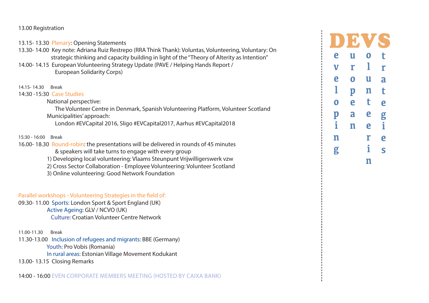#### 13.00 Registration

13.15- 13.30 Plenary: Opening Statements

13.30- 14.00 Key note: Adriana Ruiz Restrepo (RRA Think Thank): Voluntas, Volunteering, Voluntary: On strategic thinking and capacity building in light of the "Theory of Alterity as Intention"

14.00- 14.15 European Volunteering Strategy Update (PAVE / Helping Hands Report / European Solidarity Corps)

14.15- 14.30 Break

14:30 -15:30 Case Studies

National perspective:

 The Volunteer Centre in Denmark, Spanish Volunteering Platform, Volunteer Scotland Municipalities' approach:

London #EVCapital 2016, Sligo #EVCapital2017, Aarhus #EVCapital2018

#### 15:30 - 16:00 Break

- 16.00- 18.30 Round-robin: the presentations will be delivered in rounds of 45 minutes
	- & speakers will take turns to engage with every group
	- 1) Developing local volunteering: Vlaams Steunpunt Vrijwilligerswerk vzw
	- 2) Cross Sector Collaboration Employee Volunteering: Volunteer Scotland
	- 3) Online volunteering: Good Network Foundation

#### Parallel workshops - Volunteering Strategies in the field of:

09.30- 11.00 Sports: London Sport & Sport England (UK) Active Ageing: GLV / NCVO (UK) Culture: Croatian Volunteer Centre Network

11.00-11.30 Break

11.30-13.00 Inclusion of refugees and migrants: BBE (Germany) Youth: Pro Vobis (Romania) In rural areas: Estonian Village Movement Kodukant

13.00- 13.15 Closing Remarks

| e           | U                       | 0 | t |
|-------------|-------------------------|---|---|
| $\mathbf V$ | r                       | l | r |
| e           | $\overline{\mathbf{0}}$ | U | a |
| 1           | $\mathbf{p}$            | n | t |
| $\mathbf 0$ | e                       | t | e |
| $\mathbf p$ | a                       | e | g |
| i           | n                       | e | i |
| n           |                         | r | e |
| g           |                         | i | S |
|             |                         | n |   |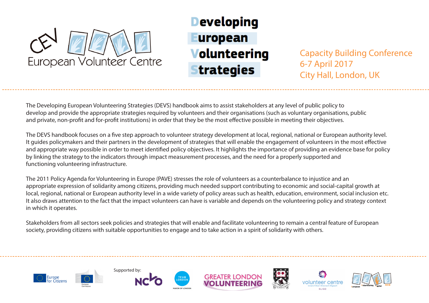

## **Developing** uropean **Volunteering** trategies

Capacity Building Conference 6-7 April 2017 City Hall, London, UK

The Developing European Volunteering Strategies (DEVS) handbook aims to assist stakeholders at any level of public policy to develop and provide the appropriate strategies required by volunteers and their organisations (such as voluntary organisations, public and private, non-profit and for-profit institutions) in order that they be the most effective possible in meeting their objectives.

The DEVS handbook focuses on a five step approach to volunteer strategy development at local, regional, national or European authority level. It guides policymakers and their partners in the development of strategies that will enable the engagement of volunteers in the most effective and appropriate way possible in order to meet identified policy objectives. It highlights the importance of providing an evidence base for policy by linking the strategy to the indicators through impact measurement processes, and the need for a properly supported and functioning volunteering infrastructure.

The 2011 Policy Agenda for Volunteering in Europe (PAVE) stresses the role of volunteers as a counterbalance to injustice and an appropriate expression of solidarity among citizens, providing much needed support contributing to economic and social-capital growth at local, regional, national or European authority level in a wide variety of policy areas such as health, education, environment, social inclusion etc. It also draws attention to the fact that the impact volunteers can have is variable and depends on the volunteering policy and strategy context in which it operates.

Stakeholders from all sectors seek policies and strategies that will enable and facilitate volunteering to remain a central feature of European society, providing citizens with suitable opportunities to engage and to take action in a spirit of solidarity with others.













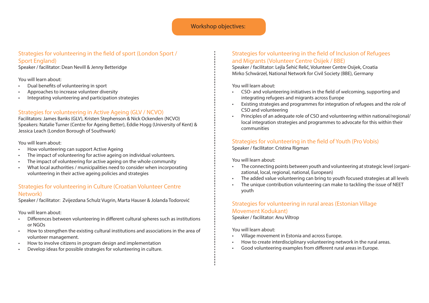#### Workshop objectives:

#### Strategies for volunteering in the field of sport (London Sport / Sport England)

Speaker / facilitator: Dean Nevill & Jenny Betteridge

#### You will learn about:

- Dual benefits of volunteering in sport
- Approaches to increase volunteer diversity
- Integrating volunteering and participation strategies

#### Strategies for volunteering in Active Ageing (GLV / NCVO)

Facilitators: James Banks (GLV), Kristen Stephenson & Nick Ockenden (NCVO) Speakers: Natalie Turner (Centre for Ageing Better), Eddie Hogg (University of Kent) & Jessica Leach (London Borough of Southwark)

#### You will learn about:

- How volunteering can support Active Ageing
- The impact of volunteering for active ageing on individual volunteers.
- The impact of volunteering for active ageing on the whole community
- What local authorities / municipalities need to consider when incorporating volunteering in their active ageing policies and strategies

#### Strategies for volunteering in Culture (Croatian Volunteer Centre Network)

Speaker / facilitator: Zvijezdana Schulz Vugrin, Marta Hauser & Jolanda Todorović

#### You will learn about:

- • Differences between volunteering in different cultural spheres such as institutions or NGOs
- How to strengthen the existing cultural institutions and associations in the area of volunteer management.
- How to involve citizens in program design and implementation
- Develop ideas for possible strategies for volunteering in culture.

## Strategies for volunteering in the field of Inclusion of Refugees and Migrants (Volunteer Centre Osijek / BBE)

Speaker / facilitator: Lejla Šehić Relić, Volunteer Centre Osijek, Croatia Mirko Schwärzel, National Network for Civil Society (BBE), Germany

You will learn about:

- CSO- and volunteering initiatives in the field of welcoming, supporting and integrating refugees and migrants across Europe
- • Existing strategies and programmes for integration of refugees and the role of CSO and volunteering
- Principles of an adequate role of CSO and volunteering within national/regional/ local integration strategies and programmes to advocate for this within their communities

#### Strategies for volunteering in the field of Youth (Pro Vobis)

Speaker / facilitator: Cristina Rigman

You will learn about:

- The connecting points between youth and volunteering at strategic level (organizational, local, regional, national, European)
- The added value volunteering can bring to youth focused strategies at all levels
- The unique contribution volunteering can make to tackling the issue of NFFT youth

#### Strategies for volunteering in rural areas (Estonian Village Movement Kodukant) Speaker / facilitator: Anu Viltrop

You will learn about:

- Village movement in Estonia and across Europe.
- How to create interdisciplinary volunteering network in the rural areas.
- Good volunteering examples from different rural areas in Europe.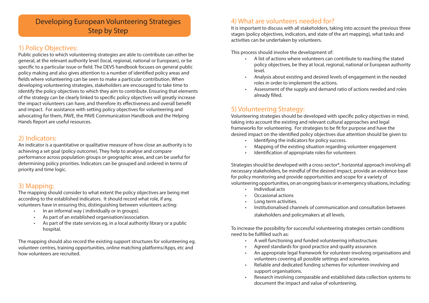## Developing European Volunteering Strategies Step by Step

## 1) Policy Objectives:

Public policies to which volunteering strategies are able to contribute can either be general, at the relevant authority level (local, regional, national or European), or be specific to a particular issue or field. The DEVS handbook focuses on general public policy making and also gives attention to a number of identified policy areas and fields where volunteering can be seen to make a particular contribution. When developing volunteering strategies, stakeholders are encouraged to take time to identify the policy objectives to which they aim to contribute. Ensuring that elements of the strategy can be clearly linked to specific policy objectives will greatly increase the impact volunteers can have, and therefore its effectiveness and overall benefit and impact. For assistance with setting policy objectives for volunteering and advocating for them, PAVE, the PAVE Communication Handbook and the Helping Hands Report are useful resources.

## 2) Indicators:

An indicator is a quantitative or qualitative measure of how close an authority is to achieving a set goal (policy outcome). They help to analyse and compare performance across population groups or geographic areas, and can be useful for determining policy priorities. Indicators can be grouped and ordered in terms of priority and time logic.

## 3) Mapping:

The mapping should consider to what extent the policy objectives are being met according to the established indicators. It should record what role, if any, volunteers have in ensuring this, distinguishing between volunteers acting:

- • In an informal way ( individually or in groups).
- • As part of an established organisation/association.
- • As part of the state services eg, in a local authority library or a public hospital.

The mapping should also record the existing support structures for volunteering eg. volunteer centres, training opportunities, online matching platforms/Apps, etc and how volunteers are recruited.

## 4) What are volunteers needed for?

It is important to discuss with all stakeholders, taking into account the previous three stages (policy objectives, indicators, and state of the art mapping), what tasks and activities can be undertaken by volunteers.

This process should involve the development of:

- • A list of actions where volunteers can contribute to reaching the stated policy objectives, be they at local, regional, national or European authority level.
- Analysis about existing and desired levels of engagement in the needed roles in order to implement the actions.
- Assessment of the supply and demand ratio of actions needed and roles already filled.

## 5) Volunteering Strategy:

Volunteering strategies should be developed with specific policy objectives in mind, taking into account the existing and relevant cultural approaches and legal frameworks for volunteering. For strategies to be fit for purpose and have the desired impact on the identified policy objectives due attention should be given to:

- • Identifying the indicators for policy success.
- Mapping of the existing situation regarding volunteer engagement
- Identification of appropriate roles for volunteers

Strategies should be developed with a cross-sector\*, horizontal approach involving all necessary stakeholders, be mindful of the desired impact, provide an evidence base for policy monitoring and provide opportunities and scope for a variety of volunteering opportunities, on an ongoing basis or in emergency situations, including:

- • Individual acts
- Occasional actions
- Long term activities.
- Institutionalised channels of communication and consultation between stakeholders and policymakers at all levels.

To increase the possibility for successful volunteering strategies certain conditions need to be fulfilled such as:

- A well functioning and funded volunteering infrastructure.
- Agreed standards for good practice and quality assurance.
- An appropriate legal framework for volunteer-involving organisations and volunteers covering all possible settings and scenarios.
- Reliable and dedicated funding schemes for volunteer-involving and support organisations.
- Research involving comparable and established data collection systems to document the impact and value of volunteering.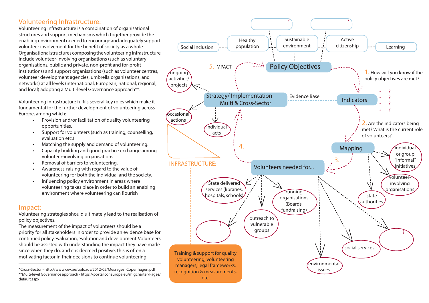## Volunteering Infrastructure:

Volunteering Infrastructure is a combination of organisational structures and support mechanisms which together provide the enabling environment needed to encourage and adequately support volunteer involvement for the benefit of society as a whole. Organisational structures composing the volunteering infrastructure include volunteer-involving organisations (such as voluntary organisations, public and private, non-profit and for-profit institutions) and support organisations (such as volunteer centres, volunteer development agencies, umbrella organisations, and networks) at all levels (international, European, national, regional, and local) adopting a Multi-level Governance approach\*\*.

Volunteering infrastructure fulfils several key roles which make it fundamental for the further development of volunteering across Europe, among which:

- • Provision and/or facilitation of quality volunteering opportunities.
- • Support for volunteers (such as training, counselling, evaluation etc.)
- Matching the supply and demand of volunteering.
- Capacity building and good practice exchange among volunteer-involving organisations
- Removal of barriers to volunteering.
- • Awareness-raising with regard to the value of volunteering for both the individual and the society.
- • Influencing policy environment in areas where volunteering takes place in order to build an enabling environment where volunteering can flourish

#### Impact:

Volunteering strategies should ultimately lead to the realisation of policy objectives.

The measurement of the impact of volunteers should be a priority for all stakeholders in order to provide an evidence base for continued policy evaluation, evolution and development. Volunteers should be assisted with understanding the impact they have made since when they do, and it is deemed positive, this is often a motivating factor in their decisions to continue volunteering.

<sup>\*</sup>Cross-Sector - http://www.cev.be/uploads/2012/05/Messages\_Copenhagen.pdf \*\*Multi-level Governance approach - https://portal.cor.europa.eu/mlgcharter/Pages/ default.aspx

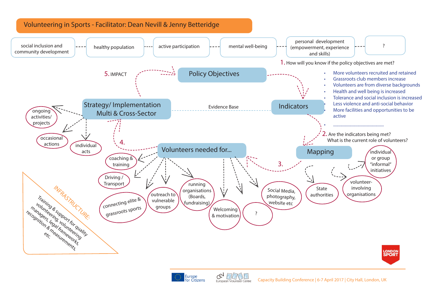

Europe<br>for Citizens

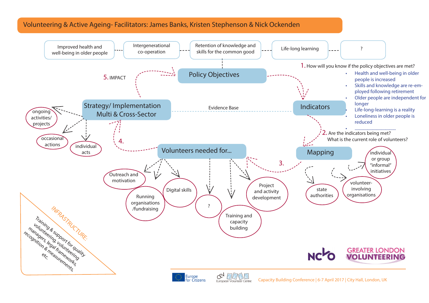## Volunteering & Active Ageing- Facilitators: James Banks, Kristen Stephenson & Nick Ockenden

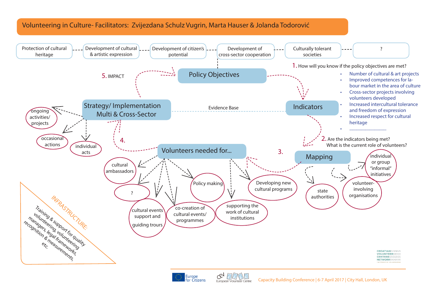## Volunteering in Culture- Facilitators: Zvijezdana Schulz Vugrin, Marta Hauser & Jolanda Todorović





Capacity Building Conference | 6-7 April 2017 | City Hall, London, UK European Volunteer Centre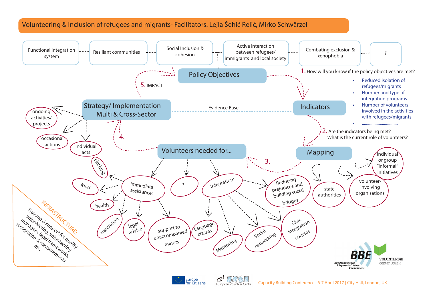## Volunteering & Inclusion of refugees and migrants- Facilitators: Lejla Šehić Relić, Mirko Schwärzel





C&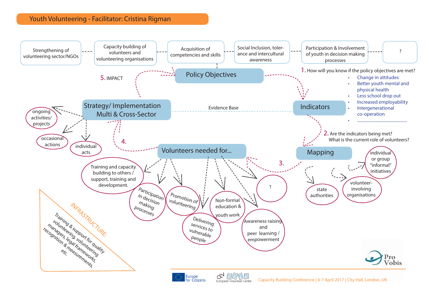## Youth Volunteering - Facilitator: Cristina Rigman

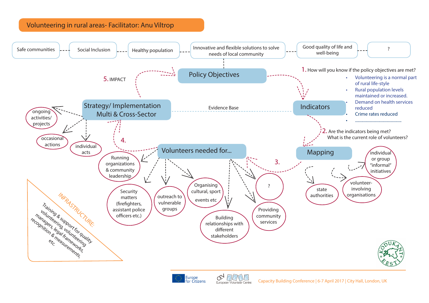## Volunteering in rural areas- Facilitator: Anu Viltrop





œ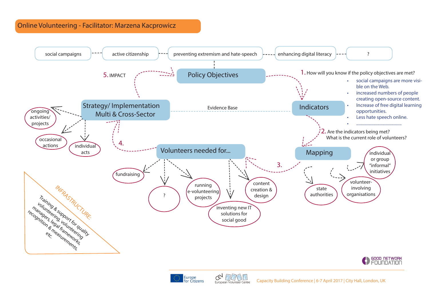## Online Volunteering - Facilitator: Marzena Kacprowicz





ে